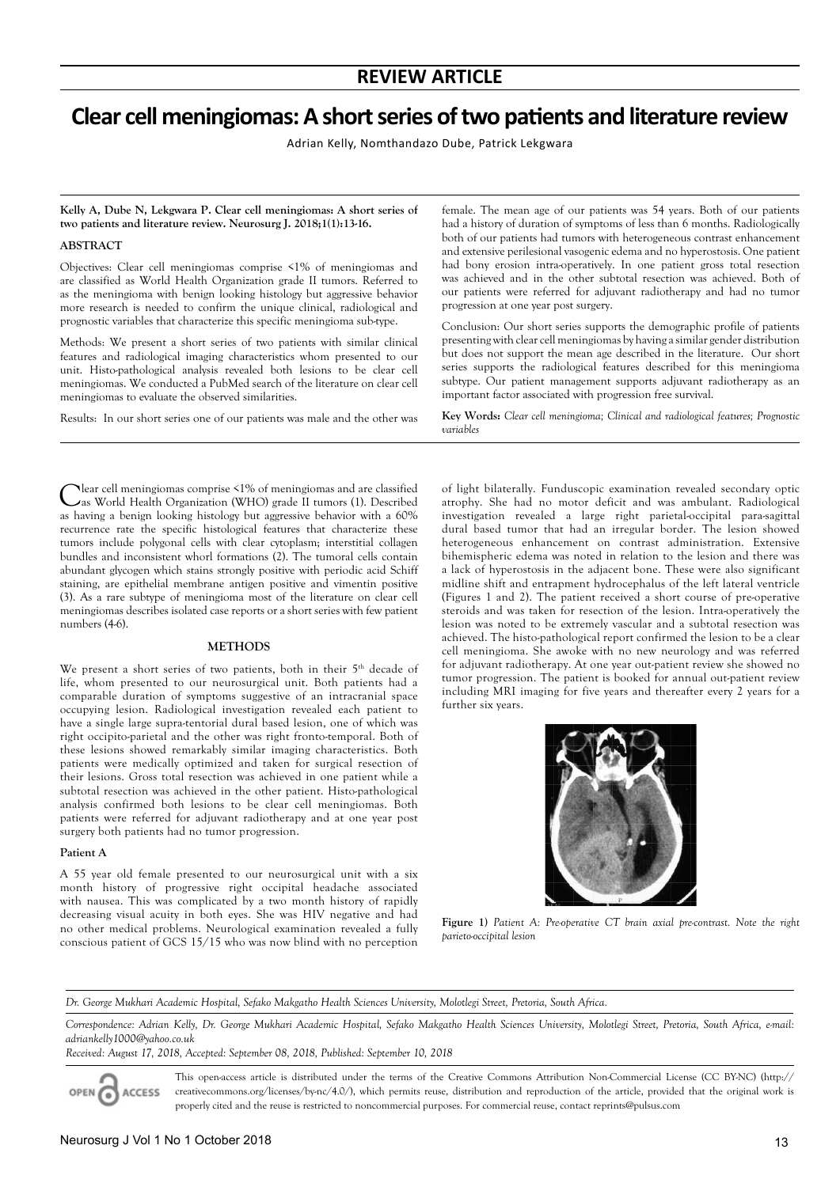# **Clear cell meningiomas: A short series of two patients and literature review**

Adrian Kelly, Nomthandazo Dube, Patrick Lekgwara

**Kelly A, Dube N, Lekgwara P. Clear cell meningiomas: A short series of two patients and literature review. Neurosurg J. 2018;1(1):13-16.**

#### **ABSTRACT**

Objectives: Clear cell meningiomas comprise <1% of meningiomas and are classified as World Health Organization grade II tumors. Referred to as the meningioma with benign looking histology but aggressive behavior more research is needed to confirm the unique clinical, radiological and prognostic variables that characterize this specific meningioma sub-type.

Methods: We present a short series of two patients with similar clinical features and radiological imaging characteristics whom presented to our unit. Histo-pathological analysis revealed both lesions to be clear cell meningiomas. We conducted a PubMed search of the literature on clear cell meningiomas to evaluate the observed similarities.

Results: In our short series one of our patients was male and the other was

female. The mean age of our patients was 54 years. Both of our patients had a history of duration of symptoms of less than 6 months. Radiologically both of our patients had tumors with heterogeneous contrast enhancement and extensive perilesional vasogenic edema and no hyperostosis. One patient had bony erosion intra-operatively. In one patient gross total resection was achieved and in the other subtotal resection was achieved. Both of our patients were referred for adjuvant radiotherapy and had no tumor progression at one year post surgery.

Conclusion: Our short series supports the demographic profile of patients presenting with clear cell meningiomas by having a similar gender distribution but does not support the mean age described in the literature. Our short series supports the radiological features described for this meningioma subtype. Our patient management supports adjuvant radiotherapy as an important factor associated with progression free survival.

**Key Words:** *Clear cell meningioma; Clinical and radiological features; Prognostic variables*

Clear cell meningiomas comprise <1% of meningiomas and are classified as World Health Organization (WHO) grade II tumors (1). Described as having a benign looking histology but aggressive behavior with a 60% recurrence rate the specific histological features that characterize these tumors include polygonal cells with clear cytoplasm; interstitial collagen bundles and inconsistent whorl formations (2). The tumoral cells contain abundant glycogen which stains strongly positive with periodic acid Schiff staining, are epithelial membrane antigen positive and vimentin positive (3). As a rare subtype of meningioma most of the literature on clear cell meningiomas describes isolated case reports or a short series with few patient numbers (4-6).

#### **METHODS**

We present a short series of two patients, both in their 5<sup>th</sup> decade of life, whom presented to our neurosurgical unit. Both patients had a comparable duration of symptoms suggestive of an intracranial space occupying lesion. Radiological investigation revealed each patient to have a single large supra-tentorial dural based lesion, one of which was right occipito-parietal and the other was right fronto-temporal. Both of these lesions showed remarkably similar imaging characteristics. Both patients were medically optimized and taken for surgical resection of their lesions. Gross total resection was achieved in one patient while a subtotal resection was achieved in the other patient. Histo-pathological analysis confirmed both lesions to be clear cell meningiomas. Both patients were referred for adjuvant radiotherapy and at one year post surgery both patients had no tumor progression.

#### **Patient A**

A 55 year old female presented to our neurosurgical unit with a six month history of progressive right occipital headache associated with nausea. This was complicated by a two month history of rapidly decreasing visual acuity in both eyes. She was HIV negative and had no other medical problems. Neurological examination revealed a fully conscious patient of GCS 15/15 who was now blind with no perception of light bilaterally. Funduscopic examination revealed secondary optic atrophy. She had no motor deficit and was ambulant. Radiological investigation revealed a large right parietal-occipital para-sagittal dural based tumor that had an irregular border. The lesion showed heterogeneous enhancement on contrast administration. Extensive bihemispheric edema was noted in relation to the lesion and there was a lack of hyperostosis in the adjacent bone. These were also significant midline shift and entrapment hydrocephalus of the left lateral ventricle (Figures 1 and 2). The patient received a short course of pre-operative steroids and was taken for resection of the lesion. Intra-operatively the lesion was noted to be extremely vascular and a subtotal resection was achieved. The histo-pathological report confirmed the lesion to be a clear cell meningioma. She awoke with no new neurology and was referred for adjuvant radiotherapy. At one year out-patient review she showed no tumor progression. The patient is booked for annual out-patient review including MRI imaging for five years and thereafter every 2 years for a further six years.



**Figure 1)** *Patient A: Pre-operative CT brain axial pre-contrast. Note the right parieto-occipital lesion*

*Dr. George Mukhari Academic Hospital, Sefako Makgatho Health Sciences University, Molotlegi Street, Pretoria, South Africa.*

Correspondence: Adrian Kelly, Dr. George Mukhari Academic Hospital, Sefako Makgatho Health Sciences University, Molotlegi Street, Pretoria, South Africa, e-mail: *adriankelly1000@yahoo.co.uk*

*Received: August 17, 2018, Accepted: September 08, 2018, Published: September 10, 2018*

OPEN G **ACCESS** 

This open-access article is distributed under the terms of the Creative Commons Attribution Non-Commercial License (CC BY-NC) (http:// creativecommons.org/licenses/by-nc/4.0/), which permits reuse, distribution and reproduction of the article, provided that the original work is properly cited and the reuse is restricted to noncommercial purposes. For commercial reuse, contact reprints@pulsus.com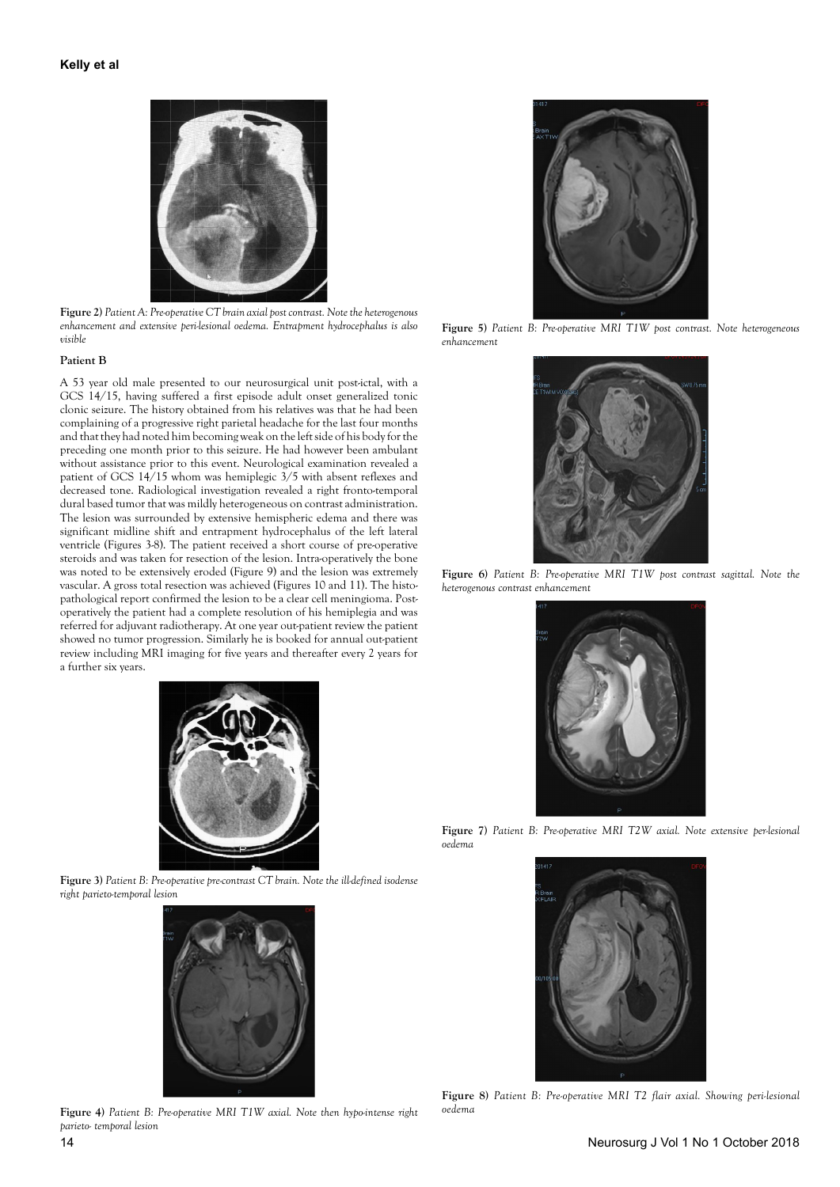

**Figure 2)** *Patient A: Pre-operative CT brain axial post contrast. Note the heterogenous enhancement and extensive peri-lesional oedema. Entrapment hydrocephalus is also visible*

## **Patient B**

A 53 year old male presented to our neurosurgical unit post-ictal, with a GCS 14/15, having suffered a first episode adult onset generalized tonic clonic seizure. The history obtained from his relatives was that he had been complaining of a progressive right parietal headache for the last four months and that they had noted him becoming weak on the left side of his body for the preceding one month prior to this seizure. He had however been ambulant without assistance prior to this event. Neurological examination revealed a patient of GCS 14/15 whom was hemiplegic 3/5 with absent reflexes and decreased tone. Radiological investigation revealed a right fronto-temporal dural based tumor that was mildly heterogeneous on contrast administration. The lesion was surrounded by extensive hemispheric edema and there was significant midline shift and entrapment hydrocephalus of the left lateral ventricle (Figures 3-8). The patient received a short course of pre-operative steroids and was taken for resection of the lesion. Intra-operatively the bone was noted to be extensively eroded (Figure 9) and the lesion was extremely vascular. A gross total resection was achieved (Figures 10 and 11). The histopathological report confirmed the lesion to be a clear cell meningioma. Postoperatively the patient had a complete resolution of his hemiplegia and was referred for adjuvant radiotherapy. At one year out-patient review the patient showed no tumor progression. Similarly he is booked for annual out-patient review including MRI imaging for five years and thereafter every 2 years for a further six years.



**Figure 3)** *Patient B: Pre-operative pre-contrast CT brain. Note the ill-defined isodense right parieto-temporal lesion*



**Figure 4)** *Patient B: Pre-operative MRI T1W axial. Note then hypo-intense right parieto- temporal lesion*



**Figure 5)** *Patient B: Pre-operative MRI T1W post contrast. Note heterogeneous enhancement*



**Figure 6)** *Patient B: Pre-operative MRI T1W post contrast sagittal. Note the heterogenous contrast enhancement*



**Figure 7)** *Patient B: Pre-operative MRI T2W axial. Note extensive per-lesional oedema*



**Figure 8)** *Patient B: Pre-operative MRI T2 flair axial. Showing peri-lesional oedema*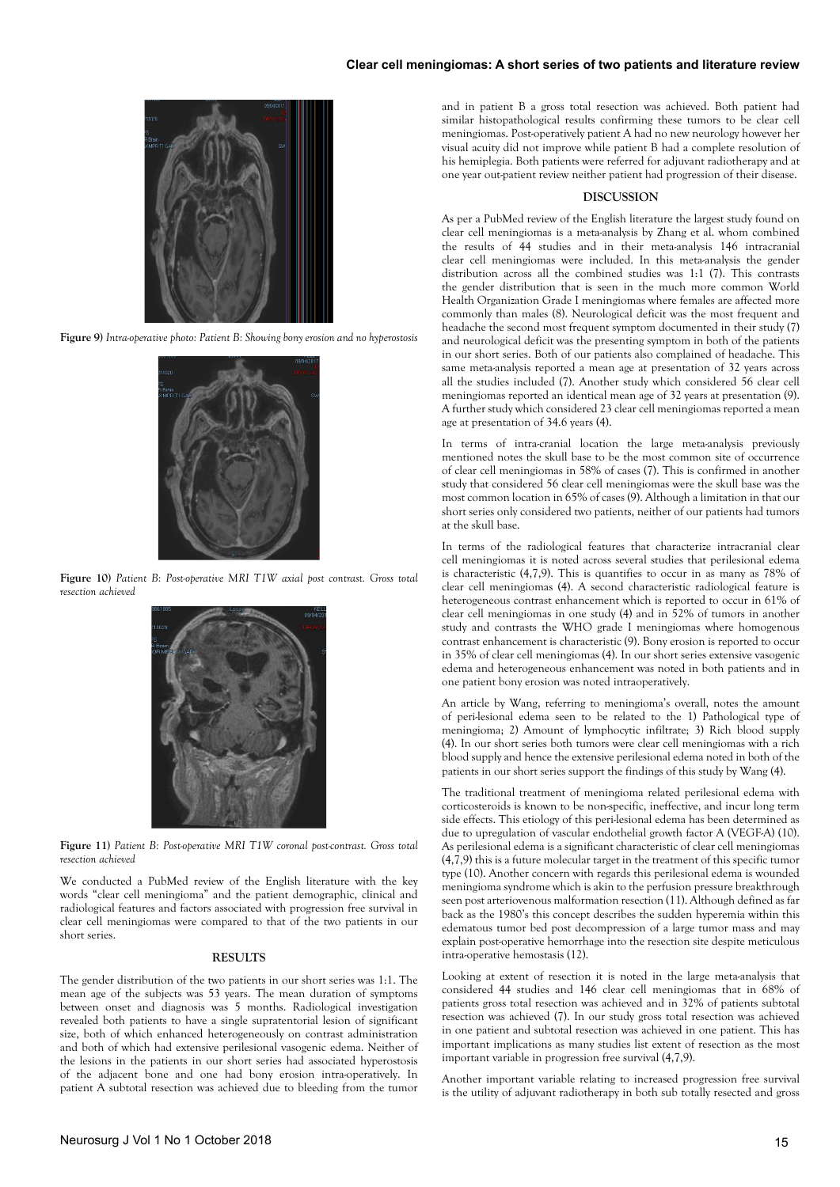# **Clear cell meningiomas: A short series of two patients and literature review**



**Figure 9)** *Intra-operative photo: Patient B: Showing bony erosion and no hyperostosis*



**Figure 10)** *Patient B: Post-operative MRI T1W axial post contrast. Gross total resection achieved*



**Figure 11)** *Patient B: Post-operative MRI T1W coronal post-contrast. Gross total resection achieved*

We conducted a PubMed review of the English literature with the key words "clear cell meningioma" and the patient demographic, clinical and radiological features and factors associated with progression free survival in clear cell meningiomas were compared to that of the two patients in our short series.

#### **RESULTS**

The gender distribution of the two patients in our short series was 1:1. The mean age of the subjects was 53 years. The mean duration of symptoms between onset and diagnosis was 5 months. Radiological investigation revealed both patients to have a single supratentorial lesion of significant size, both of which enhanced heterogeneously on contrast administration and both of which had extensive perilesional vasogenic edema. Neither of the lesions in the patients in our short series had associated hyperostosis of the adjacent bone and one had bony erosion intra-operatively. In patient A subtotal resection was achieved due to bleeding from the tumor

and in patient B a gross total resection was achieved. Both patient had similar histopathological results confirming these tumors to be clear cell meningiomas. Post-operatively patient A had no new neurology however her visual acuity did not improve while patient B had a complete resolution of his hemiplegia. Both patients were referred for adjuvant radiotherapy and at one year out-patient review neither patient had progression of their disease.

#### **DISCUSSION**

As per a PubMed review of the English literature the largest study found on clear cell meningiomas is a meta-analysis by Zhang et al. whom combined the results of 44 studies and in their meta-analysis 146 intracranial clear cell meningiomas were included. In this meta-analysis the gender distribution across all the combined studies was 1:1 (7). This contrasts the gender distribution that is seen in the much more common World Health Organization Grade I meningiomas where females are affected more commonly than males (8). Neurological deficit was the most frequent and headache the second most frequent symptom documented in their study (7) and neurological deficit was the presenting symptom in both of the patients in our short series. Both of our patients also complained of headache. This same meta-analysis reported a mean age at presentation of 32 years across all the studies included (7). Another study which considered 56 clear cell meningiomas reported an identical mean age of 32 years at presentation (9). A further study which considered 23 clear cell meningiomas reported a mean age at presentation of 34.6 years (4).

In terms of intra-cranial location the large meta-analysis previously mentioned notes the skull base to be the most common site of occurrence of clear cell meningiomas in 58% of cases (7). This is confirmed in another study that considered 56 clear cell meningiomas were the skull base was the most common location in 65% of cases (9). Although a limitation in that our short series only considered two patients, neither of our patients had tumors at the skull base.

In terms of the radiological features that characterize intracranial clear cell meningiomas it is noted across several studies that perilesional edema is characteristic (4,7,9). This is quantifies to occur in as many as 78% of clear cell meningiomas (4). A second characteristic radiological feature is heterogeneous contrast enhancement which is reported to occur in 61% of clear cell meningiomas in one study (4) and in 52% of tumors in another study and contrasts the WHO grade I meningiomas where homogenous contrast enhancement is characteristic (9). Bony erosion is reported to occur in 35% of clear cell meningiomas (4). In our short series extensive vasogenic edema and heterogeneous enhancement was noted in both patients and in one patient bony erosion was noted intraoperatively.

An article by Wang, referring to meningioma's overall, notes the amount of peri-lesional edema seen to be related to the 1) Pathological type of meningioma; 2) Amount of lymphocytic infiltrate; 3) Rich blood supply (4). In our short series both tumors were clear cell meningiomas with a rich blood supply and hence the extensive perilesional edema noted in both of the patients in our short series support the findings of this study by Wang (4).

The traditional treatment of meningioma related perilesional edema with corticosteroids is known to be non-specific, ineffective, and incur long term side effects. This etiology of this peri-lesional edema has been determined as due to upregulation of vascular endothelial growth factor A (VEGF-A) (10). As perilesional edema is a significant characteristic of clear cell meningiomas (4,7,9) this is a future molecular target in the treatment of this specific tumor type (10). Another concern with regards this perilesional edema is wounded meningioma syndrome which is akin to the perfusion pressure breakthrough seen post arteriovenous malformation resection (11). Although defined as far back as the 1980's this concept describes the sudden hyperemia within this edematous tumor bed post decompression of a large tumor mass and may explain post-operative hemorrhage into the resection site despite meticulous intra-operative hemostasis (12).

Looking at extent of resection it is noted in the large meta-analysis that considered 44 studies and 146 clear cell meningiomas that in 68% of patients gross total resection was achieved and in 32% of patients subtotal resection was achieved (7). In our study gross total resection was achieved in one patient and subtotal resection was achieved in one patient. This has important implications as many studies list extent of resection as the most important variable in progression free survival (4,7,9).

Another important variable relating to increased progression free survival is the utility of adjuvant radiotherapy in both sub totally resected and gross